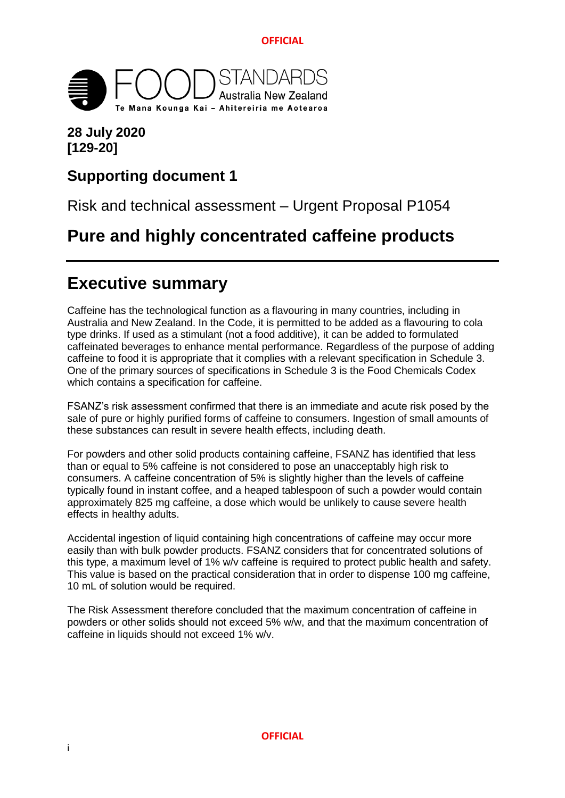

## **28 July 2020 [129-20]**

## **Supporting document 1**

Risk and technical assessment – Urgent Proposal P1054

# **Pure and highly concentrated caffeine products**

# <span id="page-0-0"></span>**Executive summary**

Caffeine has the technological function as a flavouring in many countries, including in Australia and New Zealand. In the Code, it is permitted to be added as a flavouring to cola type drinks. If used as a stimulant (not a food additive), it can be added to formulated caffeinated beverages to enhance mental performance. Regardless of the purpose of adding caffeine to food it is appropriate that it complies with a relevant specification in Schedule 3. One of the primary sources of specifications in Schedule 3 is the Food Chemicals Codex which contains a specification for caffeine.

FSANZ's risk assessment confirmed that there is an immediate and acute risk posed by the sale of pure or highly purified forms of caffeine to consumers. Ingestion of small amounts of these substances can result in severe health effects, including death.

For powders and other solid products containing caffeine, FSANZ has identified that less than or equal to 5% caffeine is not considered to pose an unacceptably high risk to consumers. A caffeine concentration of 5% is slightly higher than the levels of caffeine typically found in instant coffee, and a heaped tablespoon of such a powder would contain approximately 825 mg caffeine, a dose which would be unlikely to cause severe health effects in healthy adults.

Accidental ingestion of liquid containing high concentrations of caffeine may occur more easily than with bulk powder products. FSANZ considers that for concentrated solutions of this type, a maximum level of 1% w/v caffeine is required to protect public health and safety. This value is based on the practical consideration that in order to dispense 100 mg caffeine, 10 mL of solution would be required.

The Risk Assessment therefore concluded that the maximum concentration of caffeine in powders or other solids should not exceed 5% w/w, and that the maximum concentration of caffeine in liquids should not exceed 1% w/v.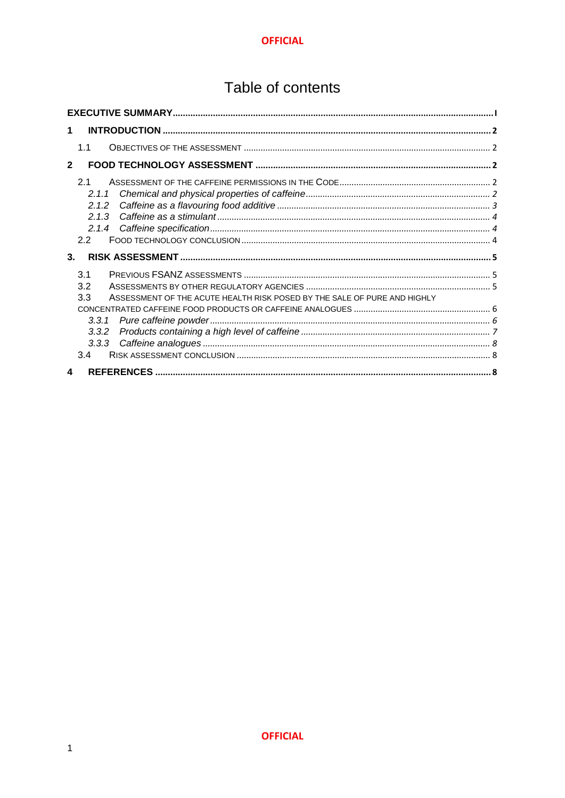# Table of contents

| 1                                                                               |  |
|---------------------------------------------------------------------------------|--|
| 1.1                                                                             |  |
| $\overline{2}$                                                                  |  |
| 21                                                                              |  |
| 2.1.1<br>2.1.2                                                                  |  |
| 2.1.3                                                                           |  |
|                                                                                 |  |
| 2.2                                                                             |  |
| 3 <sub>1</sub>                                                                  |  |
| 3.1                                                                             |  |
| 3.2                                                                             |  |
| 3.3<br>ASSESSMENT OF THE ACUTE HEALTH RISK POSED BY THE SALE OF PURE AND HIGHLY |  |
|                                                                                 |  |
| 3.3.1<br>3.3.2                                                                  |  |
| 3.3.3                                                                           |  |
| 3.4                                                                             |  |
| 4                                                                               |  |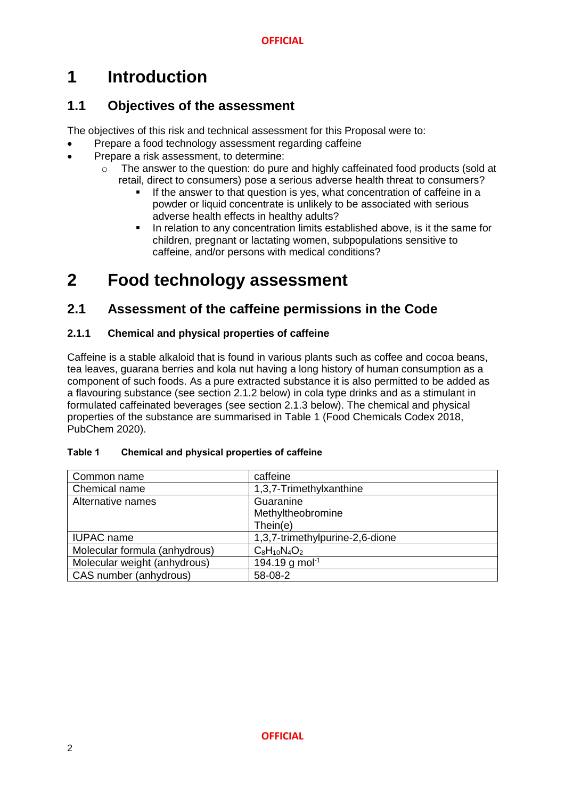# <span id="page-2-0"></span>**1 Introduction**

## <span id="page-2-1"></span>**1.1 Objectives of the assessment**

The objectives of this risk and technical assessment for this Proposal were to:

- Prepare a food technology assessment regarding caffeine
- Prepare a risk assessment, to determine:
	- o The answer to the question: do pure and highly caffeinated food products (sold at retail, direct to consumers) pose a serious adverse health threat to consumers?
		- If the answer to that question is yes, what concentration of caffeine in a powder or liquid concentrate is unlikely to be associated with serious adverse health effects in healthy adults?
		- In relation to any concentration limits established above, is it the same for children, pregnant or lactating women, subpopulations sensitive to caffeine, and/or persons with medical conditions?

# <span id="page-2-2"></span>**2 Food technology assessment**

## <span id="page-2-3"></span>**2.1 Assessment of the caffeine permissions in the Code**

### <span id="page-2-4"></span>**2.1.1 Chemical and physical properties of caffeine**

Caffeine is a stable alkaloid that is found in various plants such as coffee and cocoa beans, tea leaves, guarana berries and kola nut having a long history of human consumption as a component of such foods. As a pure extracted substance it is also permitted to be added as a flavouring substance (see section 2.1.2 below) in cola type drinks and as a stimulant in formulated caffeinated beverages (see section 2.1.3 below). The chemical and physical properties of the substance are summarised in Table 1 (Food Chemicals Codex 2018, PubChem 2020).

| Table 1 | <b>Chemical and physical properties of caffeine</b> |  |  |
|---------|-----------------------------------------------------|--|--|
|         |                                                     |  |  |

| Common name                   | caffeine                        |
|-------------------------------|---------------------------------|
| Chemical name                 | 1,3,7-Trimethylxanthine         |
| Alternative names             | Guaranine                       |
|                               | Methyltheobromine               |
|                               | Then(e)                         |
| <b>IUPAC</b> name             | 1,3,7-trimethylpurine-2,6-dione |
| Molecular formula (anhydrous) | $C_8H_{10}N_4O_2$               |
| Molecular weight (anhydrous)  | 194.19 g mol <sup>-1</sup>      |
| CAS number (anhydrous)        | 58-08-2                         |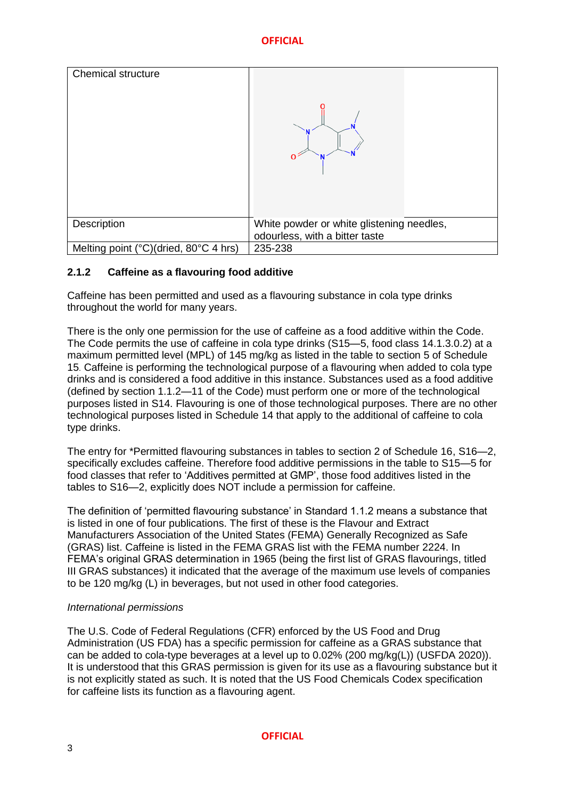

### <span id="page-3-0"></span>**2.1.2 Caffeine as a flavouring food additive**

Caffeine has been permitted and used as a flavouring substance in cola type drinks throughout the world for many years.

There is the only one permission for the use of caffeine as a food additive within the Code. The Code permits the use of caffeine in cola type drinks (S15—5, food class 14.1.3.0.2) at a maximum permitted level (MPL) of 145 mg/kg as listed in the table to section 5 of Schedule 15. Caffeine is performing the technological purpose of a flavouring when added to cola type drinks and is considered a food additive in this instance. Substances used as a food additive (defined by section 1.1.2—11 of the Code) must perform one or more of the technological purposes listed in S14. Flavouring is one of those technological purposes. There are no other technological purposes listed in Schedule 14 that apply to the additional of caffeine to cola type drinks.

The entry for \*Permitted flavouring substances in tables to section 2 of Schedule 16, S16—2, specifically excludes caffeine. Therefore food additive permissions in the table to S15—5 for food classes that refer to 'Additives permitted at GMP', those food additives listed in the tables to S16—2, explicitly does NOT include a permission for caffeine.

The definition of 'permitted flavouring substance' in Standard 1.1.2 means a substance that is listed in one of four publications. The first of these is the Flavour and Extract Manufacturers Association of the United States (FEMA) Generally Recognized as Safe (GRAS) list. Caffeine is listed in the FEMA GRAS list with the FEMA number 2224. In FEMA's original GRAS determination in 1965 (being the first list of GRAS flavourings, titled III GRAS substances) it indicated that the average of the maximum use levels of companies to be 120 mg/kg (L) in beverages, but not used in other food categories.

### *International permissions*

The U.S. Code of Federal Regulations (CFR) enforced by the US Food and Drug Administration (US FDA) has a specific permission for caffeine as a GRAS substance that can be added to cola-type beverages at a level up to 0.02% (200 mg/kg(L)) (USFDA 2020)). It is understood that this GRAS permission is given for its use as a flavouring substance but it is not explicitly stated as such. It is noted that the US Food Chemicals Codex specification for caffeine lists its function as a flavouring agent.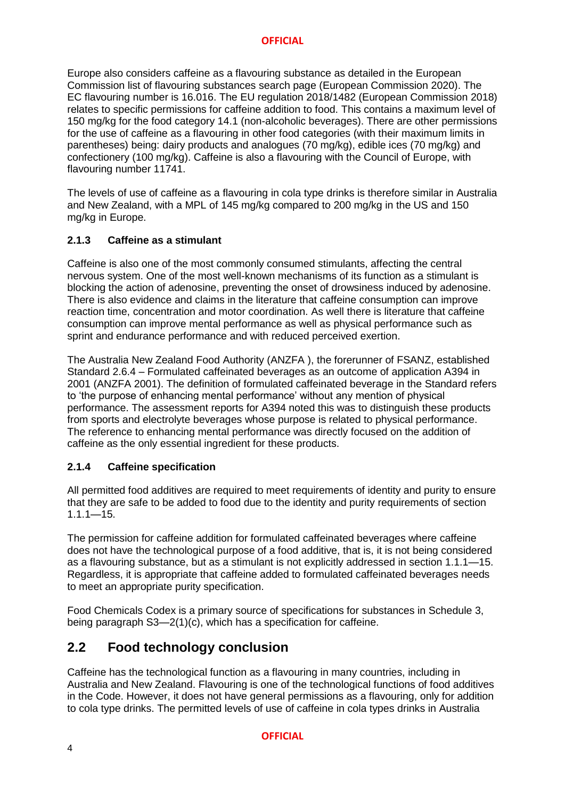Europe also considers caffeine as a flavouring substance as detailed in the European Commission list of flavouring substances search page (European Commission 2020). The EC flavouring number is 16.016. The EU regulation 2018/1482 (European Commission 2018) relates to specific permissions for caffeine addition to food. This contains a maximum level of 150 mg/kg for the food category 14.1 (non-alcoholic beverages). There are other permissions for the use of caffeine as a flavouring in other food categories (with their maximum limits in parentheses) being: dairy products and analogues (70 mg/kg), edible ices (70 mg/kg) and confectionery (100 mg/kg). Caffeine is also a flavouring with the Council of Europe, with flavouring number 11741.

The levels of use of caffeine as a flavouring in cola type drinks is therefore similar in Australia and New Zealand, with a MPL of 145 mg/kg compared to 200 mg/kg in the US and 150 mg/kg in Europe.

### <span id="page-4-0"></span>**2.1.3 Caffeine as a stimulant**

Caffeine is also one of the most commonly consumed stimulants, affecting the central nervous system. One of the most well-known mechanisms of its function as a stimulant is blocking the action of adenosine, preventing the onset of drowsiness induced by adenosine. There is also evidence and claims in the literature that caffeine consumption can improve reaction time, concentration and motor coordination. As well there is literature that caffeine consumption can improve mental performance as well as physical performance such as sprint and endurance performance and with reduced perceived exertion.

The Australia New Zealand Food Authority (ANZFA ), the forerunner of FSANZ, established Standard 2.6.4 – Formulated caffeinated beverages as an outcome of application A394 in 2001 (ANZFA 2001). The definition of formulated caffeinated beverage in the Standard refers to 'the purpose of enhancing mental performance' without any mention of physical performance. The assessment reports for A394 noted this was to distinguish these products from sports and electrolyte beverages whose purpose is related to physical performance. The reference to enhancing mental performance was directly focused on the addition of caffeine as the only essential ingredient for these products.

### <span id="page-4-1"></span>**2.1.4 Caffeine specification**

All permitted food additives are required to meet requirements of identity and purity to ensure that they are safe to be added to food due to the identity and purity requirements of section  $1.1 - 15.$ 

The permission for caffeine addition for formulated caffeinated beverages where caffeine does not have the technological purpose of a food additive, that is, it is not being considered as a flavouring substance, but as a stimulant is not explicitly addressed in section 1.1.1—15. Regardless, it is appropriate that caffeine added to formulated caffeinated beverages needs to meet an appropriate purity specification.

Food Chemicals Codex is a primary source of specifications for substances in Schedule 3, being paragraph S3—2(1)(c), which has a specification for caffeine.

## <span id="page-4-2"></span>**2.2 Food technology conclusion**

Caffeine has the technological function as a flavouring in many countries, including in Australia and New Zealand. Flavouring is one of the technological functions of food additives in the Code. However, it does not have general permissions as a flavouring, only for addition to cola type drinks. The permitted levels of use of caffeine in cola types drinks in Australia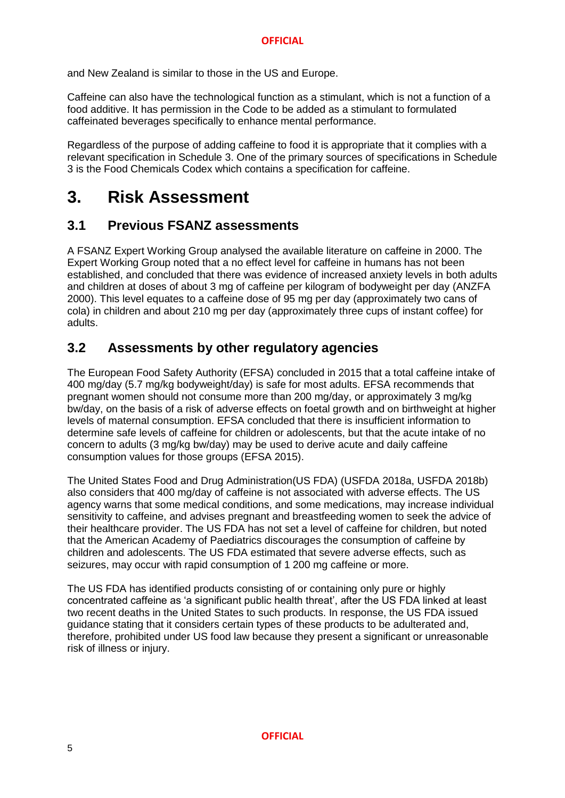and New Zealand is similar to those in the US and Europe.

Caffeine can also have the technological function as a stimulant, which is not a function of a food additive. It has permission in the Code to be added as a stimulant to formulated caffeinated beverages specifically to enhance mental performance.

Regardless of the purpose of adding caffeine to food it is appropriate that it complies with a relevant specification in Schedule 3. One of the primary sources of specifications in Schedule 3 is the Food Chemicals Codex which contains a specification for caffeine.

## <span id="page-5-0"></span>**3. Risk Assessment**

### <span id="page-5-1"></span>**3.1 Previous FSANZ assessments**

A FSANZ Expert Working Group analysed the available literature on caffeine in 2000. The Expert Working Group noted that a no effect level for caffeine in humans has not been established, and concluded that there was evidence of increased anxiety levels in both adults and children at doses of about 3 mg of caffeine per kilogram of bodyweight per day (ANZFA 2000). This level equates to a caffeine dose of 95 mg per day (approximately two cans of cola) in children and about 210 mg per day (approximately three cups of instant coffee) for adults.

## <span id="page-5-2"></span>**3.2 Assessments by other regulatory agencies**

The European Food Safety Authority (EFSA) concluded in 2015 that a total caffeine intake of 400 mg/day (5.7 mg/kg bodyweight/day) is safe for most adults. EFSA recommends that pregnant women should not consume more than 200 mg/day, or approximately 3 mg/kg bw/day, on the basis of a risk of adverse effects on foetal growth and on birthweight at higher levels of maternal consumption. EFSA concluded that there is insufficient information to determine safe levels of caffeine for children or adolescents, but that the acute intake of no concern to adults (3 mg/kg bw/day) may be used to derive acute and daily caffeine consumption values for those groups (EFSA 2015).

The United States Food and Drug Administration(US FDA) (USFDA 2018a, USFDA 2018b) also considers that 400 mg/day of caffeine is not associated with adverse effects. The US agency warns that some medical conditions, and some medications, may increase individual sensitivity to caffeine, and advises pregnant and breastfeeding women to seek the advice of their healthcare provider. The US FDA has not set a level of caffeine for children, but noted that the American Academy of Paediatrics discourages the consumption of caffeine by children and adolescents. The US FDA estimated that severe adverse effects, such as seizures, may occur with rapid consumption of 1 200 mg caffeine or more.

The US FDA has identified products consisting of or containing only pure or highly concentrated caffeine as 'a significant public health threat', after the US FDA linked at least two recent deaths in the United States to such products. In response, the US FDA issued guidance stating that it considers certain types of these products to be adulterated and, therefore, prohibited under US food law because they present a significant or unreasonable risk of illness or injury.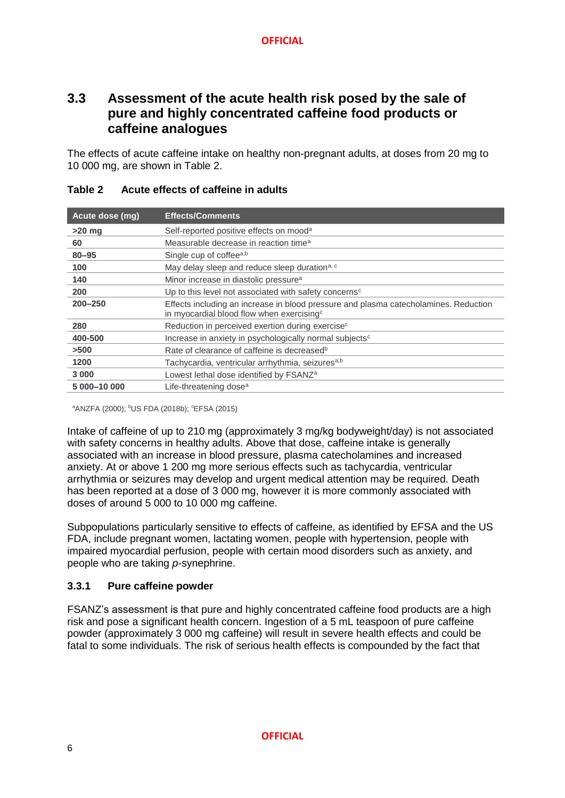## <span id="page-6-0"></span>**3.3 Assessment of the acute health risk posed by the sale of pure and highly concentrated caffeine food products or caffeine analogues**

The effects of acute caffeine intake on healthy non-pregnant adults, at doses from 20 mg to 10 000 mg, are shown in Table 2.

| Acute dose (mg) | <b>Effects/Comments</b>                                                                                                                       |
|-----------------|-----------------------------------------------------------------------------------------------------------------------------------------------|
| $>20$ mg        | Self-reported positive effects on mood <sup>a</sup>                                                                                           |
| 60              | Measurable decrease in reaction time <sup>a</sup>                                                                                             |
| $80 - 95$       | Single cup of coffeea,b                                                                                                                       |
| 100             | May delay sleep and reduce sleep duration <sup>a, c</sup>                                                                                     |
| 140             | Minor increase in diastolic pressure <sup>a</sup>                                                                                             |
| 200             | Up to this level not associated with safety concerns <sup>c</sup>                                                                             |
| $200 - 250$     | Effects including an increase in blood pressure and plasma catecholamines. Reduction<br>in myocardial blood flow when exercising <sup>c</sup> |
| 280             | Reduction in perceived exertion during exercise <sup>c</sup>                                                                                  |
| 400-500         | Increase in anxiety in psychologically normal subjects <sup>c</sup>                                                                           |
| >500            | Rate of clearance of caffeine is decreased <sup>b</sup>                                                                                       |
| 1200            | Tachycardia, ventricular arrhythmia, seizures <sup>a,b</sup>                                                                                  |
| 3 0 0 0         | Lowest lethal dose identified by FSANZ <sup>a</sup>                                                                                           |
| 5 000-10 000    | Life-threatening dose <sup>a</sup>                                                                                                            |

### **Table 2 Acute effects of caffeine in adults**

<sup>a</sup>ANZFA (2000); <sup>b</sup>US FDA (2018b); <sup>c</sup>EFSA (2015)

Intake of caffeine of up to 210 mg (approximately 3 mg/kg bodyweight/day) is not associated with safety concerns in healthy adults. Above that dose, caffeine intake is generally associated with an increase in blood pressure, plasma catecholamines and increased anxiety. At or above 1 200 mg more serious effects such as tachycardia, ventricular arrhythmia or seizures may develop and urgent medical attention may be required. Death has been reported at a dose of 3 000 mg, however it is more commonly associated with doses of around 5 000 to 10 000 mg caffeine.

Subpopulations particularly sensitive to effects of caffeine, as identified by EFSA and the US FDA, include pregnant women, lactating women, people with hypertension, people with impaired myocardial perfusion, people with certain mood disorders such as anxiety, and people who are taking *p*-synephrine.

### <span id="page-6-1"></span>**3.3.1 Pure caffeine powder**

FSANZ's assessment is that pure and highly concentrated caffeine food products are a high risk and pose a significant health concern. Ingestion of a 5 mL teaspoon of pure caffeine powder (approximately 3 000 mg caffeine) will result in severe health effects and could be fatal to some individuals. The risk of serious health effects is compounded by the fact that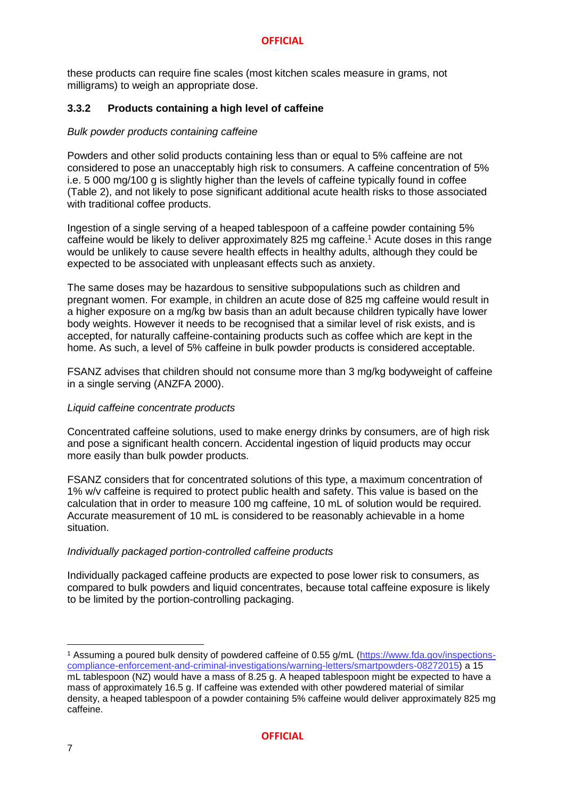these products can require fine scales (most kitchen scales measure in grams, not milligrams) to weigh an appropriate dose.

### <span id="page-7-0"></span>**3.3.2 Products containing a high level of caffeine**

### *Bulk powder products containing caffeine*

Powders and other solid products containing less than or equal to 5% caffeine are not considered to pose an unacceptably high risk to consumers. A caffeine concentration of 5% i.e. 5 000 mg/100 g is slightly higher than the levels of caffeine typically found in coffee (Table 2), and not likely to pose significant additional acute health risks to those associated with traditional coffee products.

Ingestion of a single serving of a heaped tablespoon of a caffeine powder containing 5% caffeine would be likely to deliver approximately 825 mg caffeine.<sup>1</sup> Acute doses in this range would be unlikely to cause severe health effects in healthy adults, although they could be expected to be associated with unpleasant effects such as anxiety.

The same doses may be hazardous to sensitive subpopulations such as children and pregnant women. For example, in children an acute dose of 825 mg caffeine would result in a higher exposure on a mg/kg bw basis than an adult because children typically have lower body weights. However it needs to be recognised that a similar level of risk exists, and is accepted, for naturally caffeine-containing products such as coffee which are kept in the home. As such, a level of 5% caffeine in bulk powder products is considered acceptable.

FSANZ advises that children should not consume more than 3 mg/kg bodyweight of caffeine in a single serving (ANZFA 2000).

### *Liquid caffeine concentrate products*

Concentrated caffeine solutions, used to make energy drinks by consumers, are of high risk and pose a significant health concern. Accidental ingestion of liquid products may occur more easily than bulk powder products.

FSANZ considers that for concentrated solutions of this type, a maximum concentration of 1% w/v caffeine is required to protect public health and safety. This value is based on the calculation that in order to measure 100 mg caffeine, 10 mL of solution would be required. Accurate measurement of 10 mL is considered to be reasonably achievable in a home situation.

### *Individually packaged portion-controlled caffeine products*

Individually packaged caffeine products are expected to pose lower risk to consumers, as compared to bulk powders and liquid concentrates, because total caffeine exposure is likely to be limited by the portion-controlling packaging.

 $\overline{a}$ 

<sup>1</sup> Assuming a poured bulk density of powdered caffeine of 0.55 g/mL [\(https://www.fda.gov/inspections](https://www.fda.gov/inspections-compliance-enforcement-and-criminal-investigations/warning-letters/smartpowders-08272015)[compliance-enforcement-and-criminal-investigations/warning-letters/smartpowders-08272015\)](https://www.fda.gov/inspections-compliance-enforcement-and-criminal-investigations/warning-letters/smartpowders-08272015) a 15 mL tablespoon (NZ) would have a mass of 8.25 g. A heaped tablespoon might be expected to have a mass of approximately 16.5 g. If caffeine was extended with other powdered material of similar density, a heaped tablespoon of a powder containing 5% caffeine would deliver approximately 825 mg caffeine.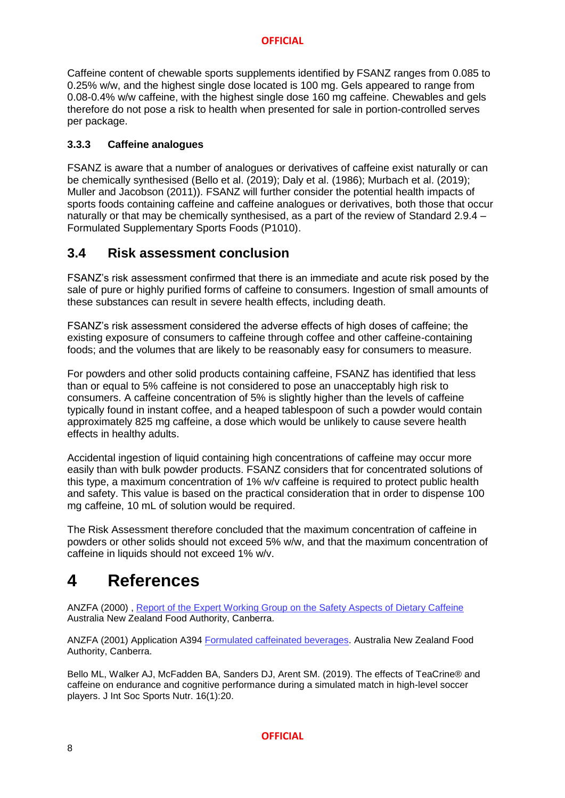Caffeine content of chewable sports supplements identified by FSANZ ranges from 0.085 to 0.25% w/w, and the highest single dose located is 100 mg. Gels appeared to range from 0.08-0.4% w/w caffeine, with the highest single dose 160 mg caffeine. Chewables and gels therefore do not pose a risk to health when presented for sale in portion-controlled serves per package.

### <span id="page-8-0"></span>**3.3.3 Caffeine analogues**

FSANZ is aware that a number of analogues or derivatives of caffeine exist naturally or can be chemically synthesised (Bello et al. (2019); Daly et al. (1986); Murbach et al. (2019); Muller and Jacobson (2011)). FSANZ will further consider the potential health impacts of sports foods containing caffeine and caffeine analogues or derivatives, both those that occur naturally or that may be chemically synthesised, as a part of the review of Standard 2.9.4 – Formulated Supplementary Sports Foods (P1010).

## <span id="page-8-1"></span>**3.4 Risk assessment conclusion**

FSANZ's risk assessment confirmed that there is an immediate and acute risk posed by the sale of pure or highly purified forms of caffeine to consumers. Ingestion of small amounts of these substances can result in severe health effects, including death.

FSANZ's risk assessment considered the adverse effects of high doses of caffeine; the existing exposure of consumers to caffeine through coffee and other caffeine-containing foods; and the volumes that are likely to be reasonably easy for consumers to measure.

For powders and other solid products containing caffeine, FSANZ has identified that less than or equal to 5% caffeine is not considered to pose an unacceptably high risk to consumers. A caffeine concentration of 5% is slightly higher than the levels of caffeine typically found in instant coffee, and a heaped tablespoon of such a powder would contain approximately 825 mg caffeine, a dose which would be unlikely to cause severe health effects in healthy adults.

Accidental ingestion of liquid containing high concentrations of caffeine may occur more easily than with bulk powder products. FSANZ considers that for concentrated solutions of this type, a maximum concentration of 1% w/v caffeine is required to protect public health and safety. This value is based on the practical consideration that in order to dispense 100 mg caffeine, 10 mL of solution would be required.

The Risk Assessment therefore concluded that the maximum concentration of caffeine in powders or other solids should not exceed 5% w/w, and that the maximum concentration of caffeine in liquids should not exceed 1% w/v.

## <span id="page-8-2"></span>**4 References**

ANZFA (2000), [Report of the Expert Working Group on the Safety Aspects of Dietary Caffeine](https://www.foodstandards.gov.au/publications/Documents/safety%20aspects%20of%20dietary%20caffeine.pdf) Australia New Zealand Food Authority, Canberra.

ANZFA (2001) Application A394 [Formulated caffeinated beverages.](https://www.foodstandards.gov.au/code/applications/Pages/applicationa394/index.aspx) Australia New Zealand Food Authority, Canberra.

Bello ML, Walker AJ, McFadden BA, Sanders DJ, Arent SM. (2019). The effects of TeaCrine® and caffeine on endurance and cognitive performance during a simulated match in high-level soccer players. J Int Soc Sports Nutr. 16(1):20.